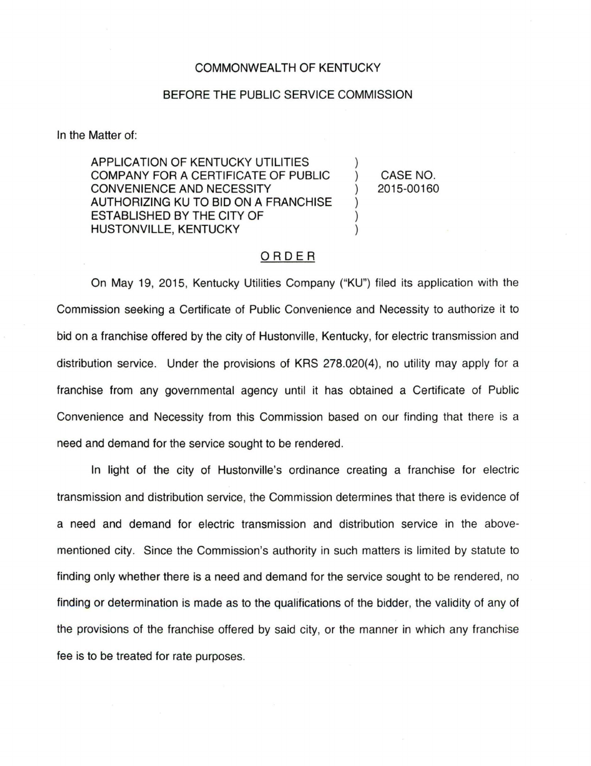## COMMONWEALTH OF KENTUCKY

## BEFORE THE PUBLIC SERVICE COMMISSION

In the Matter of:

APPLICATION OF KENTUCKY UTILITIES COMPANY FOR A CERTIFICATE OF PUBLIC CONVENIENCE AND NECESSITY AUTHORIZING KU TO BID ON A FRANCHISE ESTABLISHED BY THE CITY OF HUSTONVILLE, KENTUCKY

CASE NO. 2015-00160

 $\lambda$ 

 $\mathcal{E}$ 

 $\mathcal{L}$ 

## ORDER

On May 19, 2015, Kentucky Utilities Company ("KU") filed its application with the Commission seeking a Certificate of Public Convenience and Necessity to authorize it to bid on a franchise offered by the city of Hustonville, Kentucky, for electric transmission and distribution service. Under the provisions of KRS 278.020(4), no utility may apply for a franchise from any governmental agency until it has obtained a Certificate of Public Convenience and Necessity from this Commission based on our finding that there is a need and demand for the service sought to be rendered.

In light of the city of Hustonville's ordinance creating a franchise for electric transmission and distribution service, the Commission determines that there is evidence of a need and demand for electric transmission and distribution service in the abovementioned city. Since the Commission's authority in such matters is limited by statute to finding only whether there is a need and demand for the service sought to be rendered, no finding or determination is made as to the qualifications of the bidder, the validity of any of the provisions of the franchise offered by said city, or the manner in which any franchise fee is to be treated for rate purposes.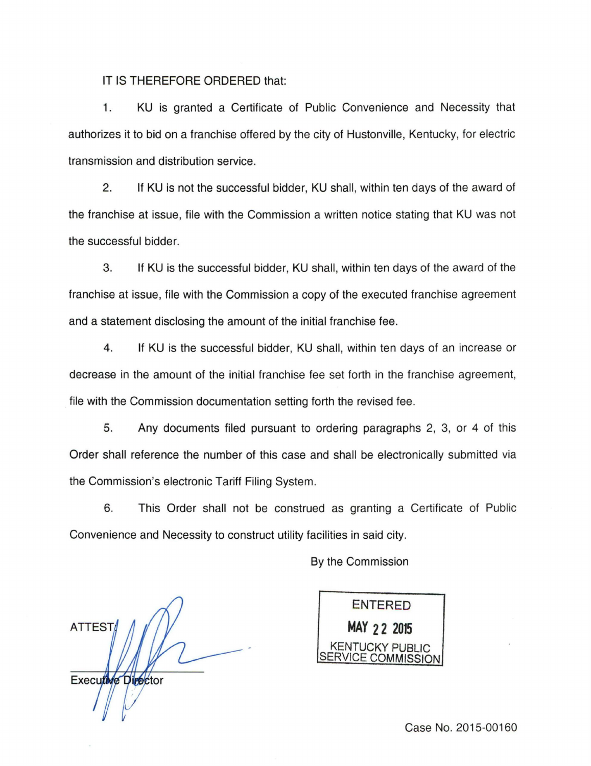IT IS THEREFORE ORDERED that:

1. KU is granted a Certificate of Public Convenience and Necessity that authorizes it to bid on a franchise offered by the city of Hustonville, Kentucky, for electric transmission and distribution service.

2. If KU is not the successful bidder, KU shall, within ten days of the award of the franchise at issue, file with the Commission a written notice stating that KU was not the successful bidder.

3. If KU is the successful bidder, KU shall, within ten days of the award of the franchise at issue, file with the Commission a copy of the executed franchise agreement and a statement disclosing the amount of the initial franchise fee.

4. If KU is the successful bidder, KU shall, within ten days of an increase or decrease in the amount of the initial franchise fee set forth in the franchise agreement, file with the Commission documentation setting forth the revised fee.

5. Any documents filed pursuant to ordering paragraphs 2, 3, or 4 of this Order shall reference the number of this case and shall be electronically submitted via the Commission's electronic Tariff Filing System.

6. This Order shall not be construed as granting a Certificate of Public Convenience and Necessity to construct utility facilities in said city.

**ATTEST** Executive Director

By the Commission

ENTERED **MAY 2 2 2015**  KENTUCKY PUBLIC VICE COMMISSION

Case No. 2015-00160